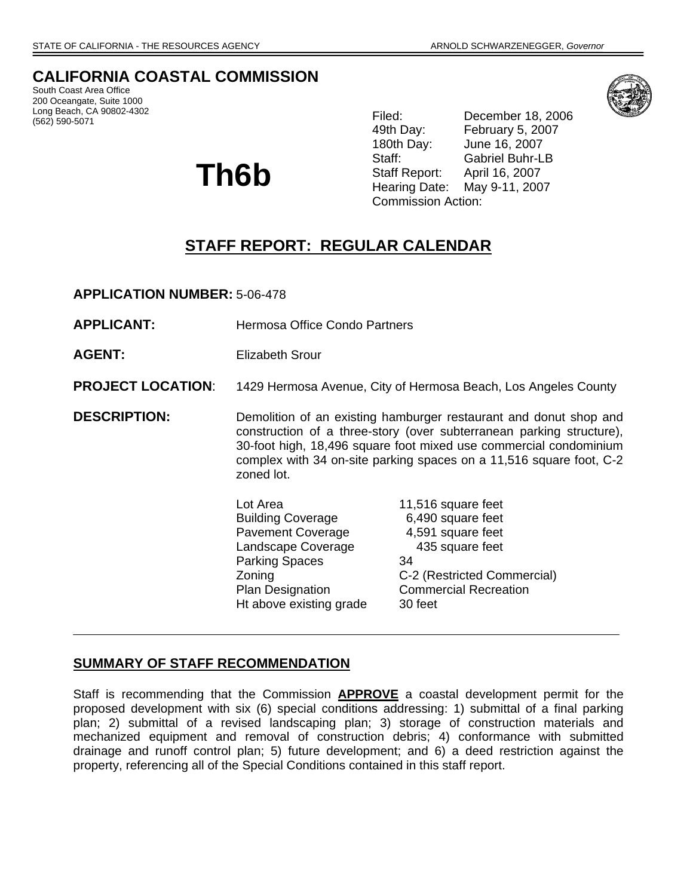# **CALIFORNIA COASTAL COMMISSION**

South Coast Area Office 200 Oceangate, Suite 1000 Long Beach, CA 90802-4302 (562) 590-5071

# **Th6b**

Filed: December 18, 2006 49th Day: February 5, 2007 180th Day: June 16, 2007 Staff: Gabriel Buhr-LB Staff Report: April 16, 2007 Hearing Date: May 9-11, 2007 Commission Action:

# **STAFF REPORT: REGULAR CALENDAR**

**APPLICATION NUMBER:** 5-06-478

- **APPLICANT:** Hermosa Office Condo Partners
- **AGENT:** Elizabeth Srour

#### **PROJECT LOCATION:** 1429 Hermosa Avenue, City of Hermosa Beach, Los Angeles County

**DESCRIPTION:** Demolition of an existing hamburger restaurant and donut shop and construction of a three-story (over subterranean parking structure), 30-foot high, 18,496 square foot mixed use commercial condominium complex with 34 on-site parking spaces on a 11,516 square foot, C-2 zoned lot.

> Lot Area 11,516 square feet Building Coverage 6,490 square feet Pavement Coverage 4,591 square feet Landscape Coverage 435 square feet Parking Spaces 34 Plan Designation Commercial Recreation Ht above existing grade 30 feet

Zoning C-2 (Restricted Commercial)

# **SUMMARY OF STAFF RECOMMENDATION**

Staff is recommending that the Commission **APPROVE** a coastal development permit for the proposed development with six (6) special conditions addressing: 1) submittal of a final parking plan; 2) submittal of a revised landscaping plan; 3) storage of construction materials and mechanized equipment and removal of construction debris; 4) conformance with submitted drainage and runoff control plan; 5) future development; and 6) a deed restriction against the property, referencing all of the Special Conditions contained in this staff report.

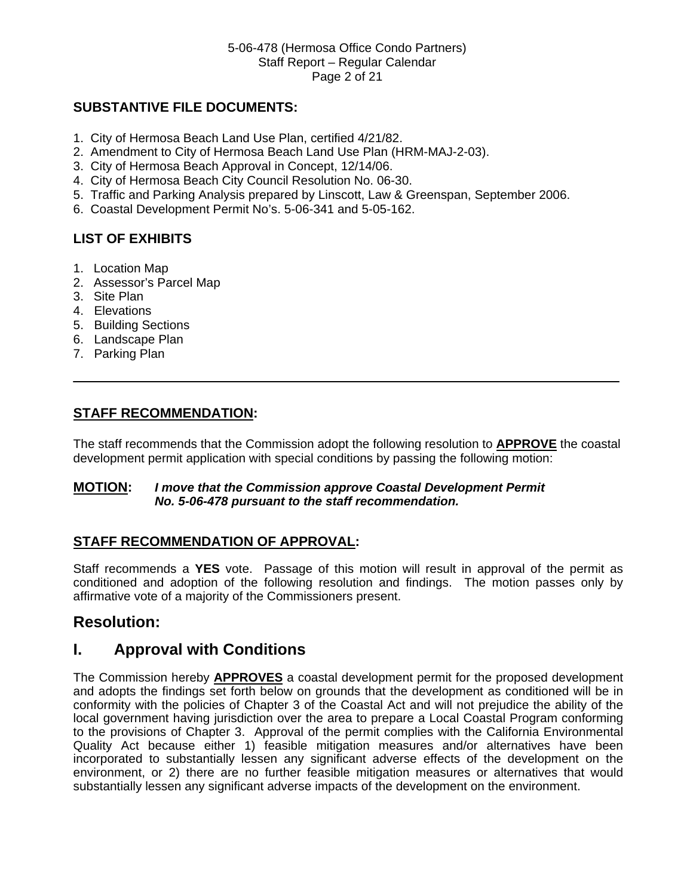#### 5-06-478 (Hermosa Office Condo Partners) Staff Report – Regular Calendar Page 2 of 21

# **SUBSTANTIVE FILE DOCUMENTS:**

- 1. City of Hermosa Beach Land Use Plan, certified 4/21/82.
- 2. Amendment to City of Hermosa Beach Land Use Plan (HRM-MAJ-2-03).
- 3. City of Hermosa Beach Approval in Concept, 12/14/06.
- 4. City of Hermosa Beach City Council Resolution No. 06-30.
- 5. Traffic and Parking Analysis prepared by Linscott, Law & Greenspan, September 2006.
- 6. Coastal Development Permit No's. 5-06-341 and 5-05-162.

# **LIST OF EXHIBITS**

- 1. Location Map
- 2. Assessor's Parcel Map
- 3. Site Plan
- 4. Elevations
- 5. Building Sections
- 6. Landscape Plan
- 7. Parking Plan

## **STAFF RECOMMENDATION:**

The staff recommends that the Commission adopt the following resolution to **APPROVE** the coastal development permit application with special conditions by passing the following motion:

#### **MOTION:** *I move that the Commission approve Coastal Development Permit*  *No. 5-06-478 pursuant to the staff recommendation.*

# **STAFF RECOMMENDATION OF APPROVAL:**

Staff recommends a **YES** vote. Passage of this motion will result in approval of the permit as conditioned and adoption of the following resolution and findings. The motion passes only by affirmative vote of a majority of the Commissioners present.

# **Resolution:**

# **I. Approval with Conditions**

The Commission hereby **APPROVES** a coastal development permit for the proposed development and adopts the findings set forth below on grounds that the development as conditioned will be in conformity with the policies of Chapter 3 of the Coastal Act and will not prejudice the ability of the local government having jurisdiction over the area to prepare a Local Coastal Program conforming to the provisions of Chapter 3. Approval of the permit complies with the California Environmental Quality Act because either 1) feasible mitigation measures and/or alternatives have been incorporated to substantially lessen any significant adverse effects of the development on the environment, or 2) there are no further feasible mitigation measures or alternatives that would substantially lessen any significant adverse impacts of the development on the environment.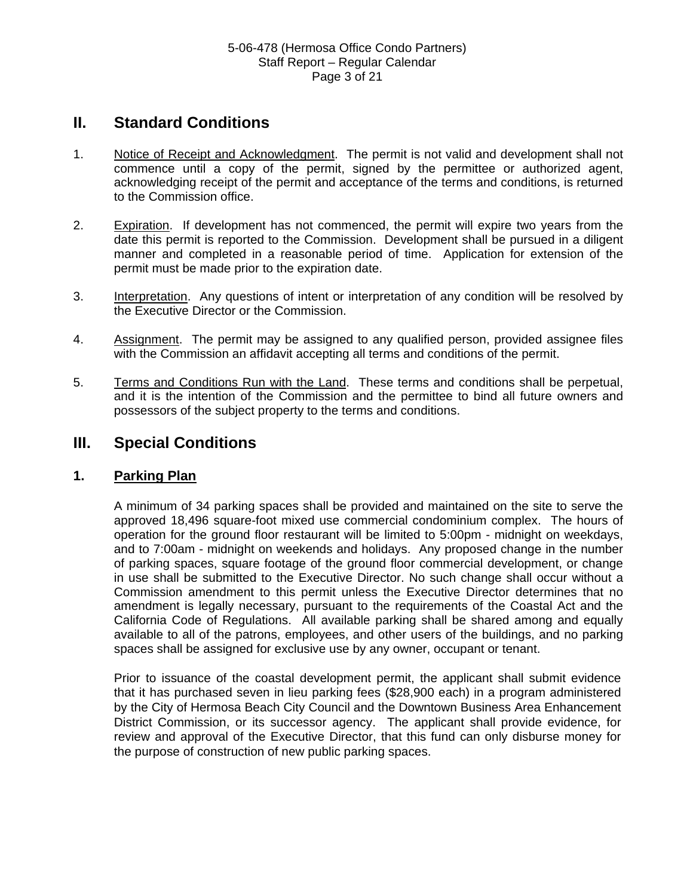# **II. Standard Conditions**

- 1. Notice of Receipt and Acknowledgment. The permit is not valid and development shall not commence until a copy of the permit, signed by the permittee or authorized agent, acknowledging receipt of the permit and acceptance of the terms and conditions, is returned to the Commission office.
- 2. Expiration. If development has not commenced, the permit will expire two years from the date this permit is reported to the Commission. Development shall be pursued in a diligent manner and completed in a reasonable period of time. Application for extension of the permit must be made prior to the expiration date.
- 3. Interpretation. Any questions of intent or interpretation of any condition will be resolved by the Executive Director or the Commission.
- 4. Assignment. The permit may be assigned to any qualified person, provided assignee files with the Commission an affidavit accepting all terms and conditions of the permit.
- 5. Terms and Conditions Run with the Land. These terms and conditions shall be perpetual, and it is the intention of the Commission and the permittee to bind all future owners and possessors of the subject property to the terms and conditions.

# **III. Special Conditions**

# **1. Parking Plan**

A minimum of 34 parking spaces shall be provided and maintained on the site to serve the approved 18,496 square-foot mixed use commercial condominium complex. The hours of operation for the ground floor restaurant will be limited to 5:00pm - midnight on weekdays, and to 7:00am - midnight on weekends and holidays. Any proposed change in the number of parking spaces, square footage of the ground floor commercial development, or change in use shall be submitted to the Executive Director. No such change shall occur without a Commission amendment to this permit unless the Executive Director determines that no amendment is legally necessary, pursuant to the requirements of the Coastal Act and the California Code of Regulations. All available parking shall be shared among and equally available to all of the patrons, employees, and other users of the buildings, and no parking spaces shall be assigned for exclusive use by any owner, occupant or tenant.

Prior to issuance of the coastal development permit, the applicant shall submit evidence that it has purchased seven in lieu parking fees (\$28,900 each) in a program administered by the City of Hermosa Beach City Council and the Downtown Business Area Enhancement District Commission, or its successor agency. The applicant shall provide evidence, for review and approval of the Executive Director, that this fund can only disburse money for the purpose of construction of new public parking spaces.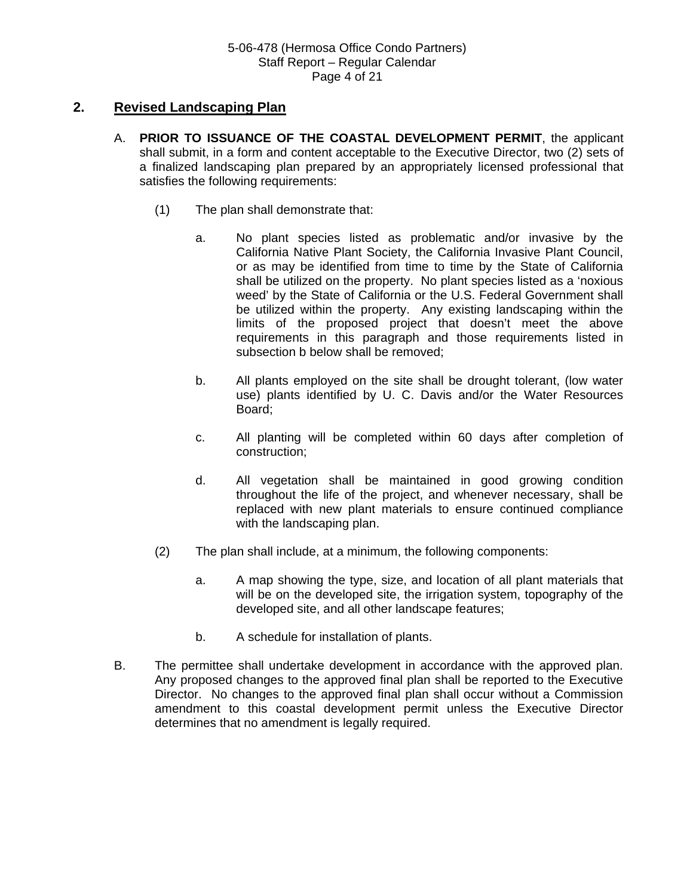## **2. Revised Landscaping Plan**

- A. **PRIOR TO ISSUANCE OF THE COASTAL DEVELOPMENT PERMIT**, the applicant shall submit, in a form and content acceptable to the Executive Director, two (2) sets of a finalized landscaping plan prepared by an appropriately licensed professional that satisfies the following requirements:
	- (1) The plan shall demonstrate that:
		- a. No plant species listed as problematic and/or invasive by the California Native Plant Society, the California Invasive Plant Council, or as may be identified from time to time by the State of California shall be utilized on the property. No plant species listed as a 'noxious weed' by the State of California or the U.S. Federal Government shall be utilized within the property. Any existing landscaping within the limits of the proposed project that doesn't meet the above requirements in this paragraph and those requirements listed in subsection b below shall be removed;
		- b. All plants employed on the site shall be drought tolerant, (low water use) plants identified by U. C. Davis and/or the Water Resources Board;
		- c. All planting will be completed within 60 days after completion of construction;
		- d. All vegetation shall be maintained in good growing condition throughout the life of the project, and whenever necessary, shall be replaced with new plant materials to ensure continued compliance with the landscaping plan.
	- (2) The plan shall include, at a minimum, the following components:
		- a. A map showing the type, size, and location of all plant materials that will be on the developed site, the irrigation system, topography of the developed site, and all other landscape features;
		- b. A schedule for installation of plants.
- B. The permittee shall undertake development in accordance with the approved plan. Any proposed changes to the approved final plan shall be reported to the Executive Director. No changes to the approved final plan shall occur without a Commission amendment to this coastal development permit unless the Executive Director determines that no amendment is legally required.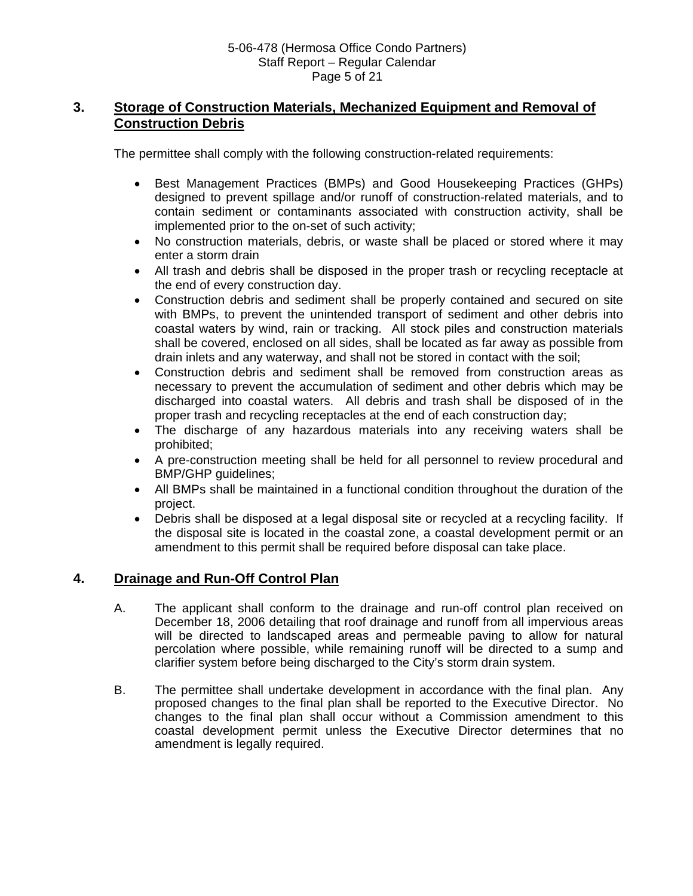# **3. Storage of Construction Materials, Mechanized Equipment and Removal of Construction Debris**

The permittee shall comply with the following construction-related requirements:

- Best Management Practices (BMPs) and Good Housekeeping Practices (GHPs) designed to prevent spillage and/or runoff of construction-related materials, and to contain sediment or contaminants associated with construction activity, shall be implemented prior to the on-set of such activity;
- No construction materials, debris, or waste shall be placed or stored where it may enter a storm drain
- All trash and debris shall be disposed in the proper trash or recycling receptacle at the end of every construction day.
- Construction debris and sediment shall be properly contained and secured on site with BMPs, to prevent the unintended transport of sediment and other debris into coastal waters by wind, rain or tracking. All stock piles and construction materials shall be covered, enclosed on all sides, shall be located as far away as possible from drain inlets and any waterway, and shall not be stored in contact with the soil;
- Construction debris and sediment shall be removed from construction areas as necessary to prevent the accumulation of sediment and other debris which may be discharged into coastal waters. All debris and trash shall be disposed of in the proper trash and recycling receptacles at the end of each construction day;
- The discharge of any hazardous materials into any receiving waters shall be prohibited;
- A pre-construction meeting shall be held for all personnel to review procedural and BMP/GHP guidelines;
- All BMPs shall be maintained in a functional condition throughout the duration of the project.
- Debris shall be disposed at a legal disposal site or recycled at a recycling facility. If the disposal site is located in the coastal zone, a coastal development permit or an amendment to this permit shall be required before disposal can take place.

# **4. Drainage and Run-Off Control Plan**

- A. The applicant shall conform to the drainage and run-off control plan received on December 18, 2006 detailing that roof drainage and runoff from all impervious areas will be directed to landscaped areas and permeable paving to allow for natural percolation where possible, while remaining runoff will be directed to a sump and clarifier system before being discharged to the City's storm drain system.
- B. The permittee shall undertake development in accordance with the final plan. Any proposed changes to the final plan shall be reported to the Executive Director. No changes to the final plan shall occur without a Commission amendment to this coastal development permit unless the Executive Director determines that no amendment is legally required.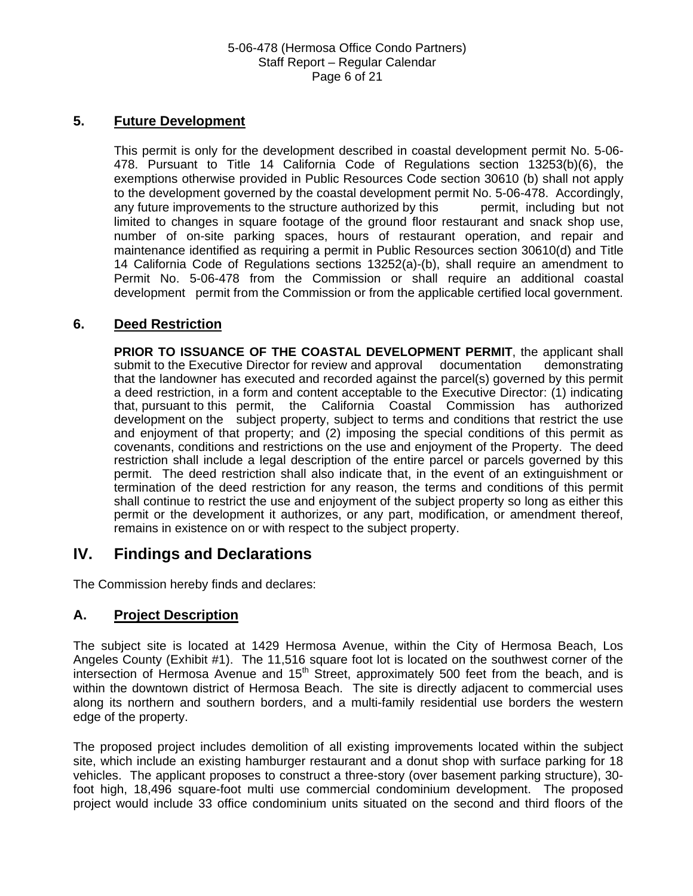#### 5-06-478 (Hermosa Office Condo Partners) Staff Report – Regular Calendar Page 6 of 21

# **5. Future Development**

This permit is only for the development described in coastal development permit No. 5-06- 478. Pursuant to Title 14 California Code of Regulations section 13253(b)(6), the exemptions otherwise provided in Public Resources Code section 30610 (b) shall not apply to the development governed by the coastal development permit No. 5-06-478. Accordingly, any future improvements to the structure authorized by this permit, including but not limited to changes in square footage of the ground floor restaurant and snack shop use, number of on-site parking spaces, hours of restaurant operation, and repair and maintenance identified as requiring a permit in Public Resources section 30610(d) and Title 14 California Code of Regulations sections 13252(a)-(b), shall require an amendment to Permit No. 5-06-478 from the Commission or shall require an additional coastal development permit from the Commission or from the applicable certified local government.

## **6. Deed Restriction**

**PRIOR TO ISSUANCE OF THE COASTAL DEVELOPMENT PERMIT**, the applicant shall submit to the Executive Director for review and approval documentation demonstrating that the landowner has executed and recorded against the parcel(s) governed by this permit a deed restriction, in a form and content acceptable to the Executive Director: (1) indicating that, pursuant to this permit, the California Coastal Commission has authorized development on the subject property, subject to terms and conditions that restrict the use and enjoyment of that property; and (2) imposing the special conditions of this permit as covenants, conditions and restrictions on the use and enjoyment of the Property. The deed restriction shall include a legal description of the entire parcel or parcels governed by this permit. The deed restriction shall also indicate that, in the event of an extinguishment or termination of the deed restriction for any reason, the terms and conditions of this permit shall continue to restrict the use and enjoyment of the subject property so long as either this permit or the development it authorizes, or any part, modification, or amendment thereof, remains in existence on or with respect to the subject property.

#### **IV. Findings and Declarations**

The Commission hereby finds and declares:

# **A. Project Description**

The subject site is located at 1429 Hermosa Avenue, within the City of Hermosa Beach, Los Angeles County (Exhibit #1). The 11,516 square foot lot is located on the southwest corner of the intersection of Hermosa Avenue and  $15<sup>th</sup>$  Street, approximately 500 feet from the beach, and is within the downtown district of Hermosa Beach. The site is directly adjacent to commercial uses along its northern and southern borders, and a multi-family residential use borders the western edge of the property.

The proposed project includes demolition of all existing improvements located within the subject site, which include an existing hamburger restaurant and a donut shop with surface parking for 18 vehicles. The applicant proposes to construct a three-story (over basement parking structure), 30 foot high, 18,496 square-foot multi use commercial condominium development. The proposed project would include 33 office condominium units situated on the second and third floors of the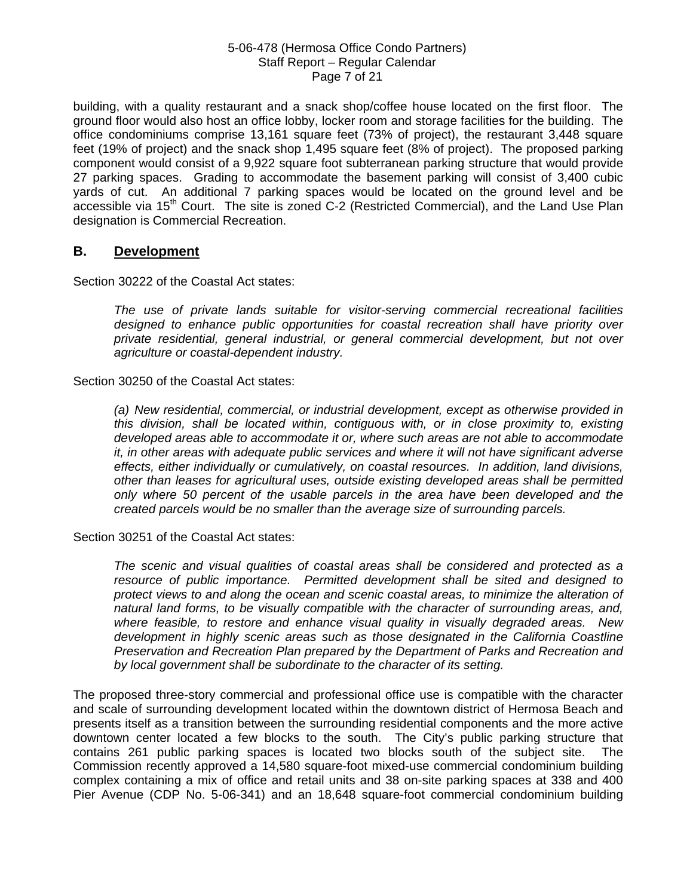#### 5-06-478 (Hermosa Office Condo Partners) Staff Report – Regular Calendar Page 7 of 21

building, with a quality restaurant and a snack shop/coffee house located on the first floor. The ground floor would also host an office lobby, locker room and storage facilities for the building. The office condominiums comprise 13,161 square feet (73% of project), the restaurant 3,448 square feet (19% of project) and the snack shop 1,495 square feet (8% of project). The proposed parking component would consist of a 9,922 square foot subterranean parking structure that would provide 27 parking spaces. Grading to accommodate the basement parking will consist of 3,400 cubic yards of cut. An additional 7 parking spaces would be located on the ground level and be accessible via 15<sup>th</sup> Court. The site is zoned C-2 (Restricted Commercial), and the Land Use Plan designation is Commercial Recreation.

## **B. Development**

Section 30222 of the Coastal Act states:

*The use of private lands suitable for visitor-serving commercial recreational facilities designed to enhance public opportunities for coastal recreation shall have priority over private residential, general industrial, or general commercial development, but not over agriculture or coastal-dependent industry.* 

Section 30250 of the Coastal Act states:

*(a) New residential, commercial, or industrial development, except as otherwise provided in this division, shall be located within, contiguous with, or in close proximity to, existing developed areas able to accommodate it or, where such areas are not able to accommodate it, in other areas with adequate public services and where it will not have significant adverse effects, either individually or cumulatively, on coastal resources. In addition, land divisions, other than leases for agricultural uses, outside existing developed areas shall be permitted only where 50 percent of the usable parcels in the area have been developed and the created parcels would be no smaller than the average size of surrounding parcels.* 

Section 30251 of the Coastal Act states:

*The scenic and visual qualities of coastal areas shall be considered and protected as a resource of public importance. Permitted development shall be sited and designed to protect views to and along the ocean and scenic coastal areas, to minimize the alteration of natural land forms, to be visually compatible with the character of surrounding areas, and, where feasible, to restore and enhance visual quality in visually degraded areas. New development in highly scenic areas such as those designated in the California Coastline Preservation and Recreation Plan prepared by the Department of Parks and Recreation and by local government shall be subordinate to the character of its setting.* 

The proposed three-story commercial and professional office use is compatible with the character and scale of surrounding development located within the downtown district of Hermosa Beach and presents itself as a transition between the surrounding residential components and the more active downtown center located a few blocks to the south. The City's public parking structure that contains 261 public parking spaces is located two blocks south of the subject site. The Commission recently approved a 14,580 square-foot mixed-use commercial condominium building complex containing a mix of office and retail units and 38 on-site parking spaces at 338 and 400 Pier Avenue (CDP No. 5-06-341) and an 18,648 square-foot commercial condominium building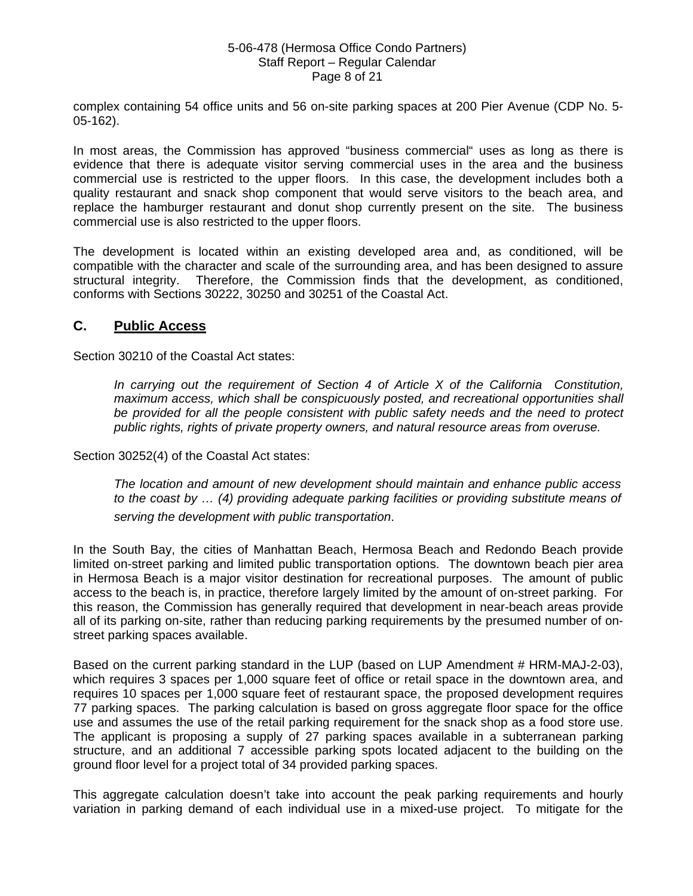#### 5-06-478 (Hermosa Office Condo Partners) Staff Report – Regular Calendar Page 8 of 21

complex containing 54 office units and 56 on-site parking spaces at 200 Pier Avenue (CDP No. 5- 05-162).

In most areas, the Commission has approved "business commercial" uses as long as there is evidence that there is adequate visitor serving commercial uses in the area and the business commercial use is restricted to the upper floors. In this case, the development includes both a quality restaurant and snack shop component that would serve visitors to the beach area, and replace the hamburger restaurant and donut shop currently present on the site. The business commercial use is also restricted to the upper floors.

The development is located within an existing developed area and, as conditioned, will be compatible with the character and scale of the surrounding area, and has been designed to assure structural integrity. Therefore, the Commission finds that the development, as conditioned, conforms with Sections 30222, 30250 and 30251 of the Coastal Act.

## **C. Public Access**

Section 30210 of the Coastal Act states:

*In carrying out the requirement of Section 4 of Article X of the California Constitution, maximum access, which shall be conspicuously posted, and recreational opportunities shall be provided for all the people consistent with public safety needs and the need to protect public rights, rights of private property owners, and natural resource areas from overuse.* 

Section 30252(4) of the Coastal Act states:

*The location and amount of new development should maintain and enhance public access to the coast by … (4) providing adequate parking facilities or providing substitute means of serving the development with public transportation*.

In the South Bay, the cities of Manhattan Beach, Hermosa Beach and Redondo Beach provide limited on-street parking and limited public transportation options. The downtown beach pier area in Hermosa Beach is a major visitor destination for recreational purposes. The amount of public access to the beach is, in practice, therefore largely limited by the amount of on-street parking. For this reason, the Commission has generally required that development in near-beach areas provide all of its parking on-site, rather than reducing parking requirements by the presumed number of onstreet parking spaces available.

Based on the current parking standard in the LUP (based on LUP Amendment # HRM-MAJ-2-03), which requires 3 spaces per 1,000 square feet of office or retail space in the downtown area, and requires 10 spaces per 1,000 square feet of restaurant space, the proposed development requires 77 parking spaces. The parking calculation is based on gross aggregate floor space for the office use and assumes the use of the retail parking requirement for the snack shop as a food store use. The applicant is proposing a supply of 27 parking spaces available in a subterranean parking structure, and an additional 7 accessible parking spots located adjacent to the building on the ground floor level for a project total of 34 provided parking spaces.

This aggregate calculation doesn't take into account the peak parking requirements and hourly variation in parking demand of each individual use in a mixed-use project. To mitigate for the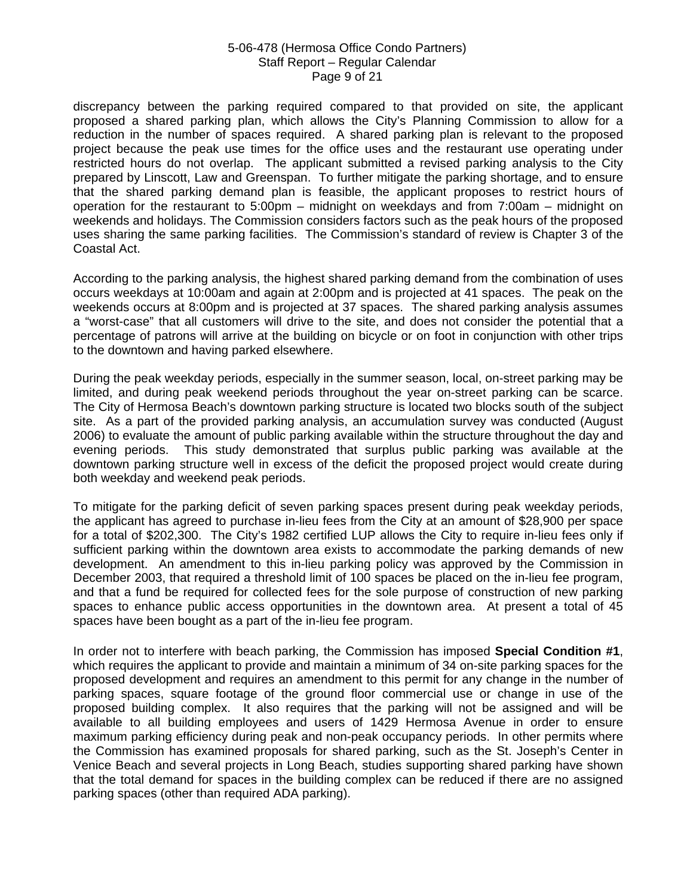#### 5-06-478 (Hermosa Office Condo Partners) Staff Report – Regular Calendar Page 9 of 21

discrepancy between the parking required compared to that provided on site, the applicant proposed a shared parking plan, which allows the City's Planning Commission to allow for a reduction in the number of spaces required. A shared parking plan is relevant to the proposed project because the peak use times for the office uses and the restaurant use operating under restricted hours do not overlap. The applicant submitted a revised parking analysis to the City prepared by Linscott, Law and Greenspan. To further mitigate the parking shortage, and to ensure that the shared parking demand plan is feasible, the applicant proposes to restrict hours of operation for the restaurant to 5:00pm – midnight on weekdays and from 7:00am – midnight on weekends and holidays. The Commission considers factors such as the peak hours of the proposed uses sharing the same parking facilities. The Commission's standard of review is Chapter 3 of the Coastal Act.

According to the parking analysis, the highest shared parking demand from the combination of uses occurs weekdays at 10:00am and again at 2:00pm and is projected at 41 spaces. The peak on the weekends occurs at 8:00pm and is projected at 37 spaces. The shared parking analysis assumes a "worst-case" that all customers will drive to the site, and does not consider the potential that a percentage of patrons will arrive at the building on bicycle or on foot in conjunction with other trips to the downtown and having parked elsewhere.

During the peak weekday periods, especially in the summer season, local, on-street parking may be limited, and during peak weekend periods throughout the year on-street parking can be scarce. The City of Hermosa Beach's downtown parking structure is located two blocks south of the subject site. As a part of the provided parking analysis, an accumulation survey was conducted (August 2006) to evaluate the amount of public parking available within the structure throughout the day and evening periods. This study demonstrated that surplus public parking was available at the downtown parking structure well in excess of the deficit the proposed project would create during both weekday and weekend peak periods.

To mitigate for the parking deficit of seven parking spaces present during peak weekday periods, the applicant has agreed to purchase in-lieu fees from the City at an amount of \$28,900 per space for a total of \$202,300. The City's 1982 certified LUP allows the City to require in-lieu fees only if sufficient parking within the downtown area exists to accommodate the parking demands of new development. An amendment to this in-lieu parking policy was approved by the Commission in December 2003, that required a threshold limit of 100 spaces be placed on the in-lieu fee program, and that a fund be required for collected fees for the sole purpose of construction of new parking spaces to enhance public access opportunities in the downtown area. At present a total of 45 spaces have been bought as a part of the in-lieu fee program.

In order not to interfere with beach parking, the Commission has imposed **Special Condition #1**, which requires the applicant to provide and maintain a minimum of 34 on-site parking spaces for the proposed development and requires an amendment to this permit for any change in the number of parking spaces, square footage of the ground floor commercial use or change in use of the proposed building complex. It also requires that the parking will not be assigned and will be available to all building employees and users of 1429 Hermosa Avenue in order to ensure maximum parking efficiency during peak and non-peak occupancy periods. In other permits where the Commission has examined proposals for shared parking, such as the St. Joseph's Center in Venice Beach and several projects in Long Beach, studies supporting shared parking have shown that the total demand for spaces in the building complex can be reduced if there are no assigned parking spaces (other than required ADA parking).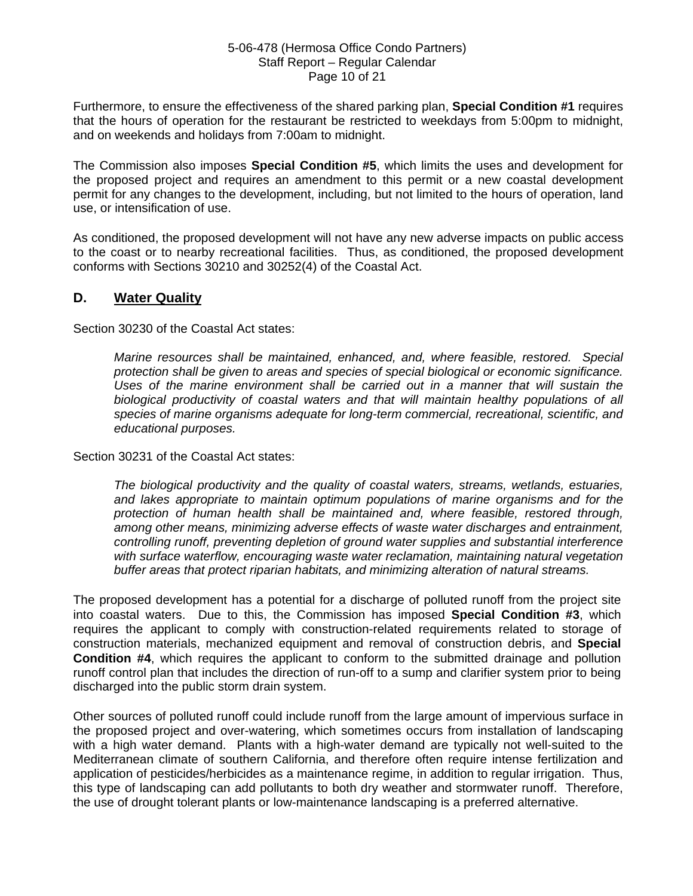#### 5-06-478 (Hermosa Office Condo Partners) Staff Report – Regular Calendar Page 10 of 21

Furthermore, to ensure the effectiveness of the shared parking plan, **Special Condition #1** requires that the hours of operation for the restaurant be restricted to weekdays from 5:00pm to midnight, and on weekends and holidays from 7:00am to midnight.

The Commission also imposes **Special Condition #5**, which limits the uses and development for the proposed project and requires an amendment to this permit or a new coastal development permit for any changes to the development, including, but not limited to the hours of operation, land use, or intensification of use.

As conditioned, the proposed development will not have any new adverse impacts on public access to the coast or to nearby recreational facilities. Thus, as conditioned, the proposed development conforms with Sections 30210 and 30252(4) of the Coastal Act.

## **D. Water Quality**

Section 30230 of the Coastal Act states:

*Marine resources shall be maintained, enhanced, and, where feasible, restored. Special protection shall be given to areas and species of special biological or economic significance. Uses of the marine environment shall be carried out in a manner that will sustain the biological productivity of coastal waters and that will maintain healthy populations of all species of marine organisms adequate for long-term commercial, recreational, scientific, and educational purposes.* 

Section 30231 of the Coastal Act states:

*The biological productivity and the quality of coastal waters, streams, wetlands, estuaries, and lakes appropriate to maintain optimum populations of marine organisms and for the protection of human health shall be maintained and, where feasible, restored through, among other means, minimizing adverse effects of waste water discharges and entrainment, controlling runoff, preventing depletion of ground water supplies and substantial interference with surface waterflow, encouraging waste water reclamation, maintaining natural vegetation buffer areas that protect riparian habitats, and minimizing alteration of natural streams.* 

The proposed development has a potential for a discharge of polluted runoff from the project site into coastal waters. Due to this, the Commission has imposed **Special Condition #3**, which requires the applicant to comply with construction-related requirements related to storage of construction materials, mechanized equipment and removal of construction debris, and **Special Condition #4**, which requires the applicant to conform to the submitted drainage and pollution runoff control plan that includes the direction of run-off to a sump and clarifier system prior to being discharged into the public storm drain system.

Other sources of polluted runoff could include runoff from the large amount of impervious surface in the proposed project and over-watering, which sometimes occurs from installation of landscaping with a high water demand. Plants with a high-water demand are typically not well-suited to the Mediterranean climate of southern California, and therefore often require intense fertilization and application of pesticides/herbicides as a maintenance regime, in addition to regular irrigation. Thus, this type of landscaping can add pollutants to both dry weather and stormwater runoff. Therefore, the use of drought tolerant plants or low-maintenance landscaping is a preferred alternative.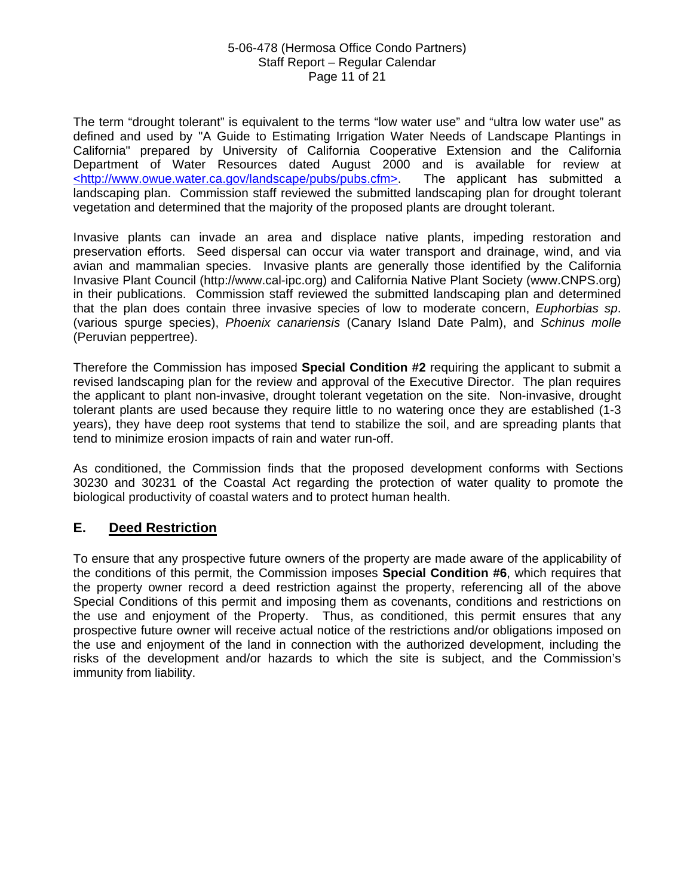#### 5-06-478 (Hermosa Office Condo Partners) Staff Report – Regular Calendar Page 11 of 21

The term "drought tolerant" is equivalent to the terms "low water use" and "ultra low water use" as defined and used by "A Guide to Estimating Irrigation Water Needs of Landscape Plantings in California" prepared by University of California Cooperative Extension and the California Department of Water Resources dated August 2000 and is available for review at <http://www.owue.water.ca.gov/landscape/pubs/pubs.cfm>. The applicant has submitted a landscaping plan. Commission staff reviewed the submitted landscaping plan for drought tolerant vegetation and determined that the majority of the proposed plants are drought tolerant.

Invasive plants can invade an area and displace native plants, impeding restoration and preservation efforts. Seed dispersal can occur via water transport and drainage, wind, and via avian and mammalian species. Invasive plants are generally those identified by the California Invasive Plant Council (http://www.cal-ipc.org) and California Native Plant Society (www.CNPS.org) in their publications. Commission staff reviewed the submitted landscaping plan and determined that the plan does contain three invasive species of low to moderate concern, *Euphorbias sp*. (various spurge species), *Phoenix canariensis* (Canary Island Date Palm), and *Schinus molle*  (Peruvian peppertree).

Therefore the Commission has imposed **Special Condition #2** requiring the applicant to submit a revised landscaping plan for the review and approval of the Executive Director. The plan requires the applicant to plant non-invasive, drought tolerant vegetation on the site. Non-invasive, drought tolerant plants are used because they require little to no watering once they are established (1-3 years), they have deep root systems that tend to stabilize the soil, and are spreading plants that tend to minimize erosion impacts of rain and water run-off.

As conditioned, the Commission finds that the proposed development conforms with Sections 30230 and 30231 of the Coastal Act regarding the protection of water quality to promote the biological productivity of coastal waters and to protect human health.

# **E. Deed Restriction**

To ensure that any prospective future owners of the property are made aware of the applicability of the conditions of this permit, the Commission imposes **Special Condition #6**, which requires that the property owner record a deed restriction against the property, referencing all of the above Special Conditions of this permit and imposing them as covenants, conditions and restrictions on the use and enjoyment of the Property. Thus, as conditioned, this permit ensures that any prospective future owner will receive actual notice of the restrictions and/or obligations imposed on the use and enjoyment of the land in connection with the authorized development, including the risks of the development and/or hazards to which the site is subject, and the Commission's immunity from liability.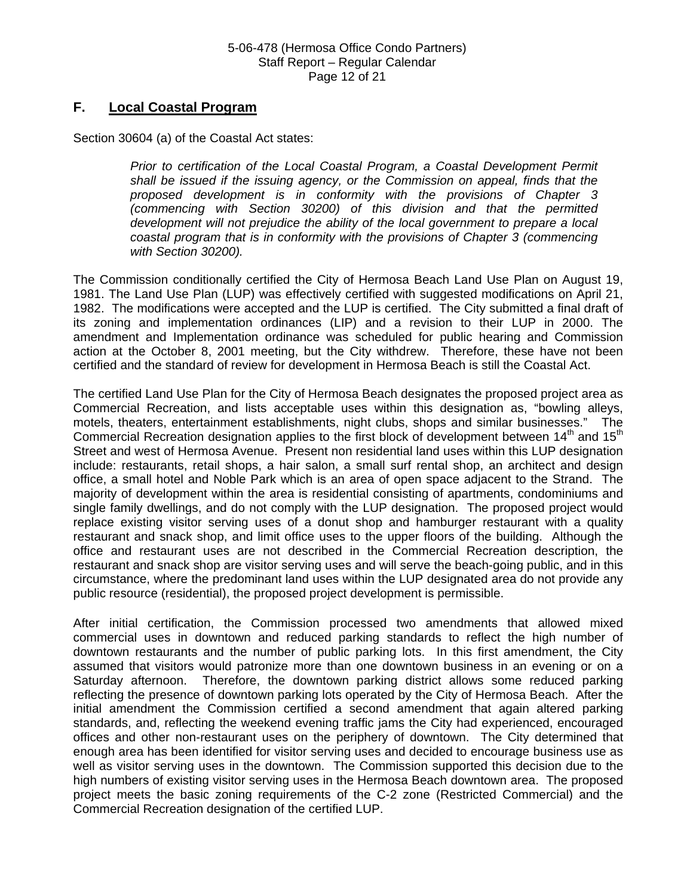# **F. Local Coastal Program**

Section 30604 (a) of the Coastal Act states:

*Prior to certification of the Local Coastal Program, a Coastal Development Permit shall be issued if the issuing agency, or the Commission on appeal, finds that the proposed development is in conformity with the provisions of Chapter 3 (commencing with Section 30200) of this division and that the permitted development will not prejudice the ability of the local government to prepare a local coastal program that is in conformity with the provisions of Chapter 3 (commencing with Section 30200).* 

The Commission conditionally certified the City of Hermosa Beach Land Use Plan on August 19, 1981. The Land Use Plan (LUP) was effectively certified with suggested modifications on April 21, 1982. The modifications were accepted and the LUP is certified. The City submitted a final draft of its zoning and implementation ordinances (LIP) and a revision to their LUP in 2000. The amendment and Implementation ordinance was scheduled for public hearing and Commission action at the October 8, 2001 meeting, but the City withdrew. Therefore, these have not been certified and the standard of review for development in Hermosa Beach is still the Coastal Act.

The certified Land Use Plan for the City of Hermosa Beach designates the proposed project area as Commercial Recreation, and lists acceptable uses within this designation as, "bowling alleys, motels, theaters, entertainment establishments, night clubs, shops and similar businesses." The Commercial Recreation designation applies to the first block of development between  $14<sup>th</sup>$  and  $15<sup>th</sup>$ Street and west of Hermosa Avenue. Present non residential land uses within this LUP designation include: restaurants, retail shops, a hair salon, a small surf rental shop, an architect and design office, a small hotel and Noble Park which is an area of open space adjacent to the Strand. The majority of development within the area is residential consisting of apartments, condominiums and single family dwellings, and do not comply with the LUP designation. The proposed project would replace existing visitor serving uses of a donut shop and hamburger restaurant with a quality restaurant and snack shop, and limit office uses to the upper floors of the building. Although the office and restaurant uses are not described in the Commercial Recreation description, the restaurant and snack shop are visitor serving uses and will serve the beach-going public, and in this circumstance, where the predominant land uses within the LUP designated area do not provide any public resource (residential), the proposed project development is permissible.

After initial certification, the Commission processed two amendments that allowed mixed commercial uses in downtown and reduced parking standards to reflect the high number of downtown restaurants and the number of public parking lots. In this first amendment, the City assumed that visitors would patronize more than one downtown business in an evening or on a Saturday afternoon. Therefore, the downtown parking district allows some reduced parking reflecting the presence of downtown parking lots operated by the City of Hermosa Beach. After the initial amendment the Commission certified a second amendment that again altered parking standards, and, reflecting the weekend evening traffic jams the City had experienced, encouraged offices and other non-restaurant uses on the periphery of downtown. The City determined that enough area has been identified for visitor serving uses and decided to encourage business use as well as visitor serving uses in the downtown. The Commission supported this decision due to the high numbers of existing visitor serving uses in the Hermosa Beach downtown area. The proposed project meets the basic zoning requirements of the C-2 zone (Restricted Commercial) and the Commercial Recreation designation of the certified LUP.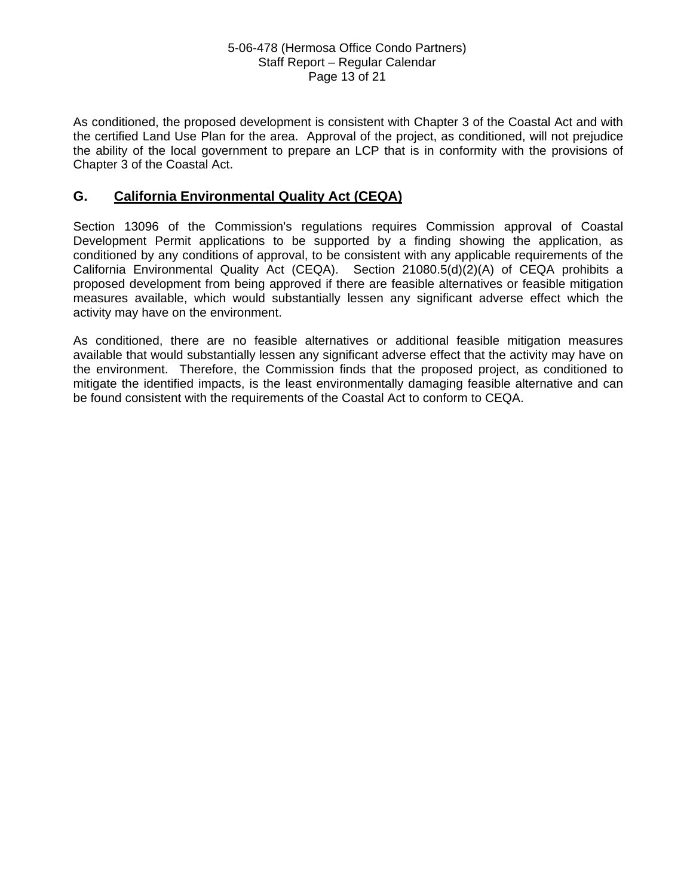#### 5-06-478 (Hermosa Office Condo Partners) Staff Report – Regular Calendar Page 13 of 21

As conditioned, the proposed development is consistent with Chapter 3 of the Coastal Act and with the certified Land Use Plan for the area. Approval of the project, as conditioned, will not prejudice the ability of the local government to prepare an LCP that is in conformity with the provisions of Chapter 3 of the Coastal Act.

# **G. California Environmental Quality Act (CEQA)**

Section 13096 of the Commission's regulations requires Commission approval of Coastal Development Permit applications to be supported by a finding showing the application, as conditioned by any conditions of approval, to be consistent with any applicable requirements of the California Environmental Quality Act (CEQA). Section 21080.5(d)(2)(A) of CEQA prohibits a proposed development from being approved if there are feasible alternatives or feasible mitigation measures available, which would substantially lessen any significant adverse effect which the activity may have on the environment.

As conditioned, there are no feasible alternatives or additional feasible mitigation measures available that would substantially lessen any significant adverse effect that the activity may have on the environment. Therefore, the Commission finds that the proposed project, as conditioned to mitigate the identified impacts, is the least environmentally damaging feasible alternative and can be found consistent with the requirements of the Coastal Act to conform to CEQA.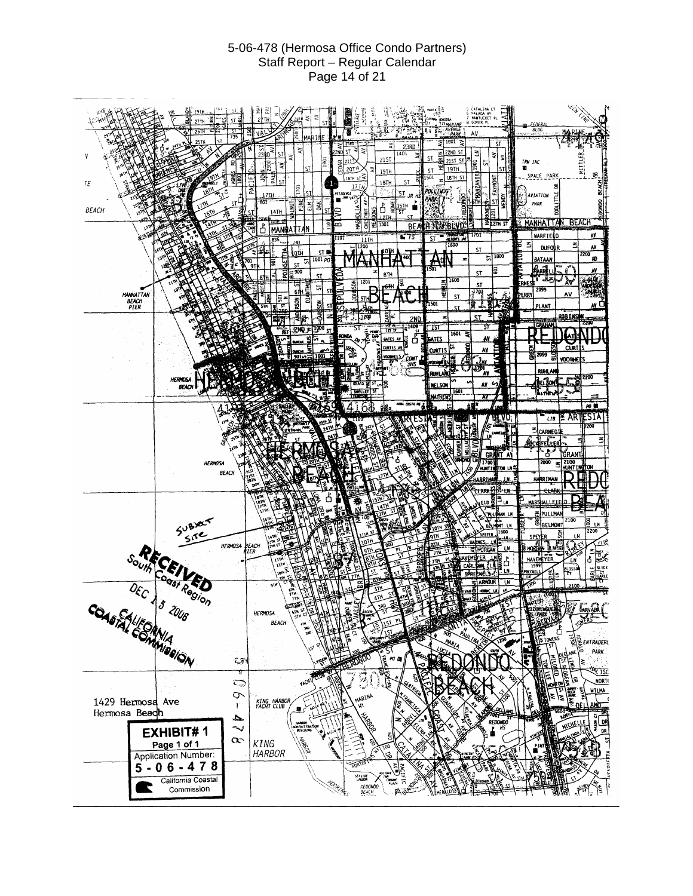#### 5-06-478 (Hermosa Office Condo Partners) Staff Report – Regular Calendar Page 14 of 21

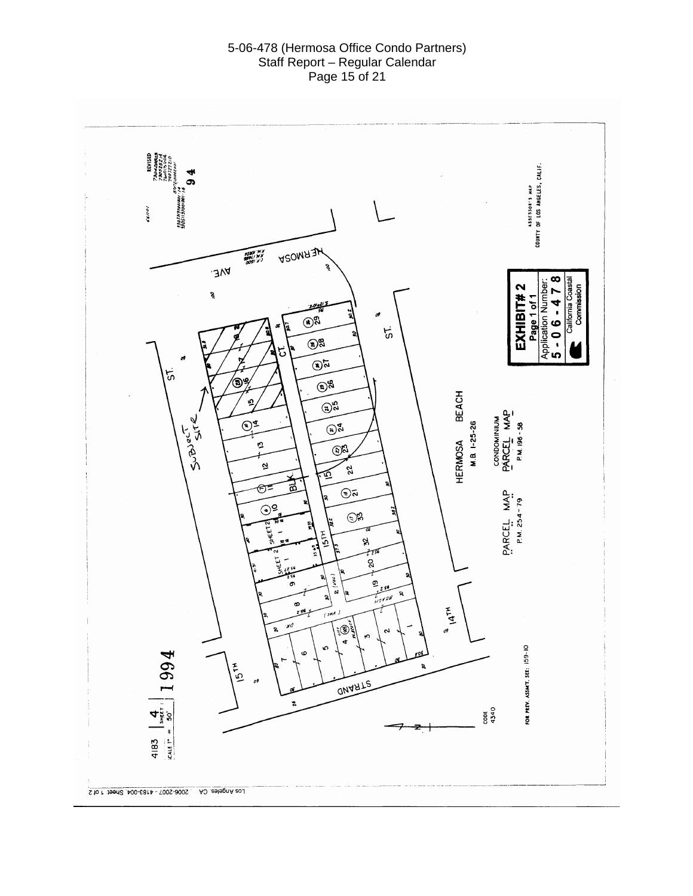#### 5-06-478 (Hermosa Office Condo Partners) Staff Report – Regular Calendar Page 15 of 21

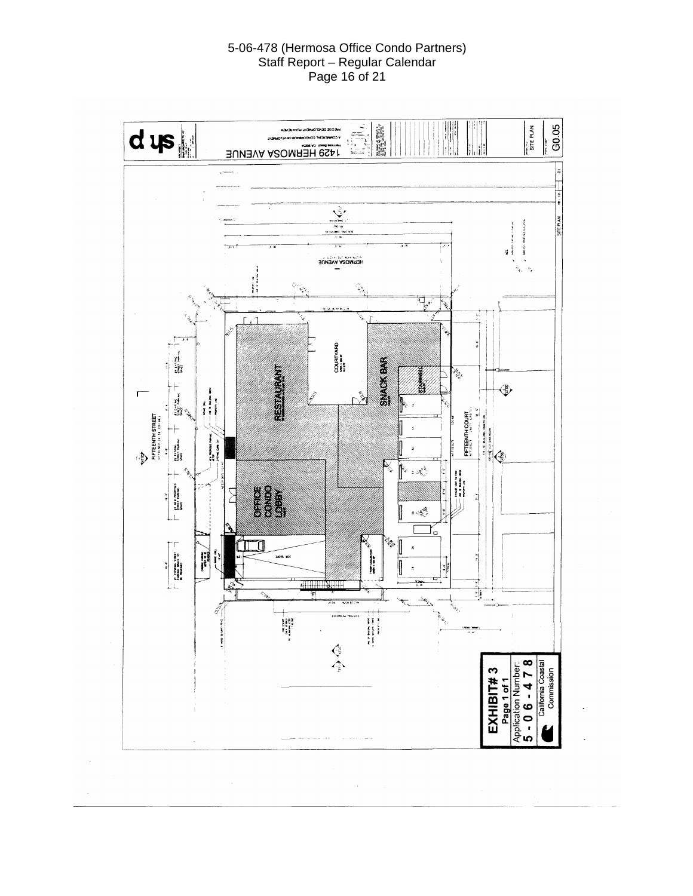#### 5-06-478 (Hermosa Office Condo Partners) Staff Report – Regular Calendar Page 16 of 21

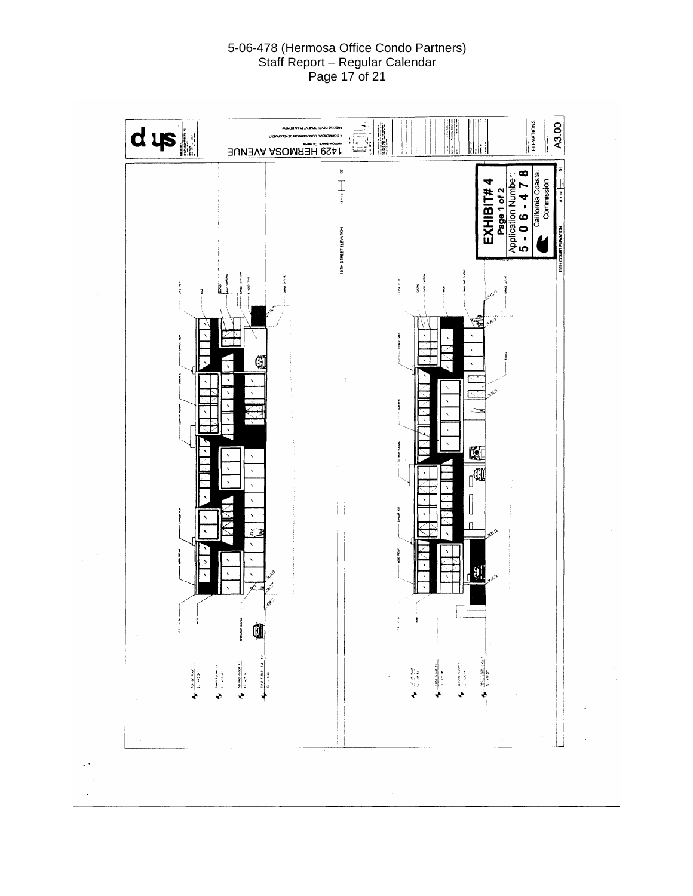#### 5-06-478 (Hermosa Office Condo Partners) Staff Report – Regular Calendar Page 17 of 21

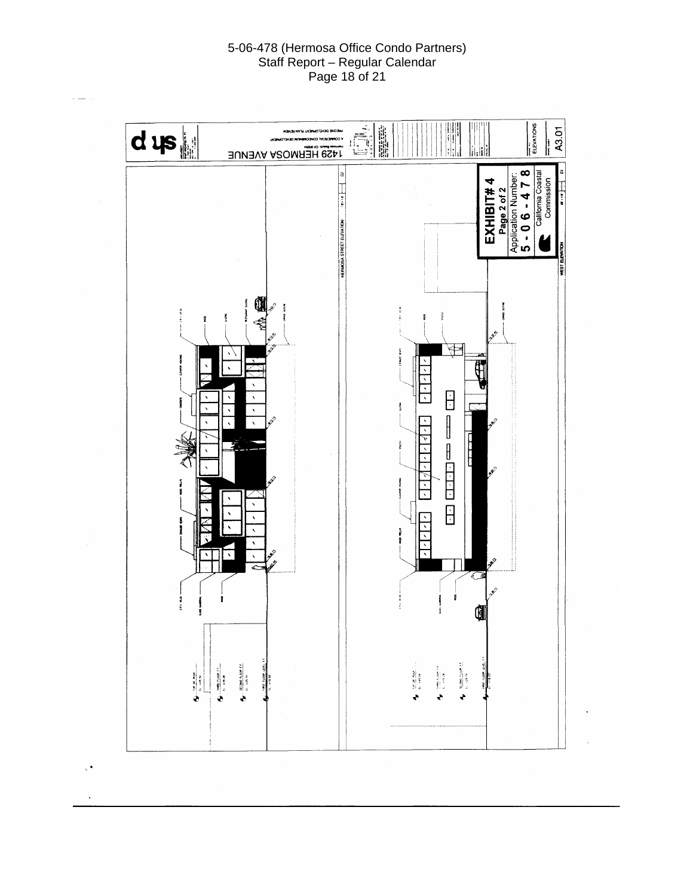#### 5-06-478 (Hermosa Office Condo Partners) Staff Report – Regular Calendar Page 18 of 21

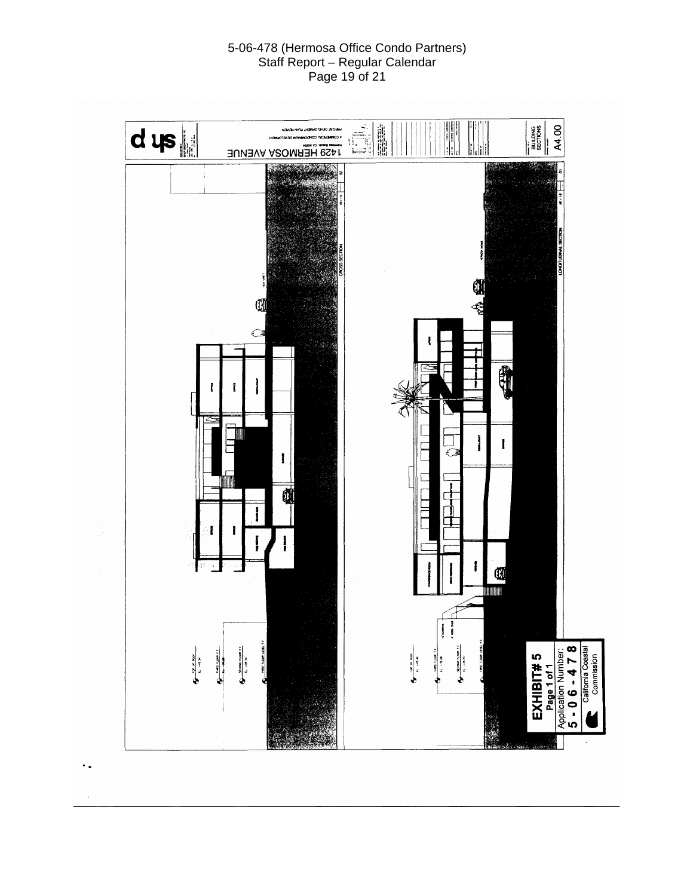#### 5-06-478 (Hermosa Office Condo Partners) Staff Report – Regular Calendar Page 19 of 21

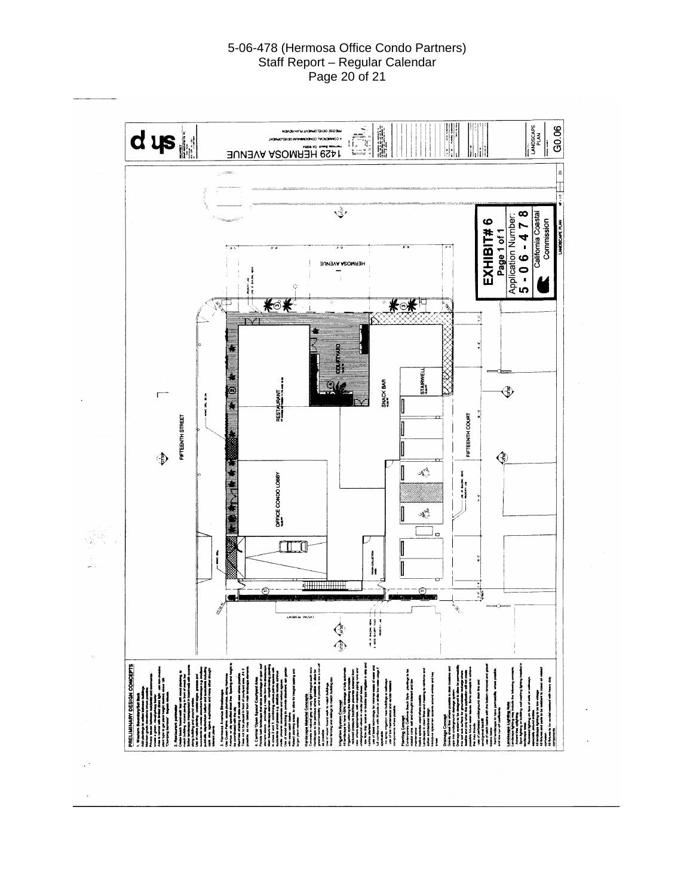#### 5-06-478 (Hermosa Office Condo Partners) Staff Report – Regular Calendar Page 20 of 21